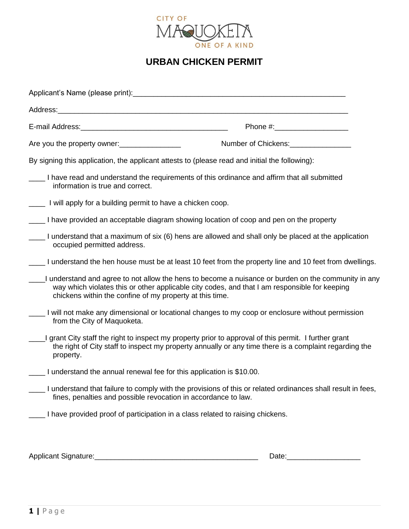

## **URBAN CHICKEN PERMIT**

| Applicant's Name (please print): Notified that the set of the set of the set of the set of the set of the set of the set of the set of the set of the set of the set of the set of the set of the set of the set of the set of |                                                                                                                                                                                                               |
|--------------------------------------------------------------------------------------------------------------------------------------------------------------------------------------------------------------------------------|---------------------------------------------------------------------------------------------------------------------------------------------------------------------------------------------------------------|
|                                                                                                                                                                                                                                |                                                                                                                                                                                                               |
|                                                                                                                                                                                                                                | Phone #:________________________                                                                                                                                                                              |
| Are you the property owner:                                                                                                                                                                                                    |                                                                                                                                                                                                               |
| By signing this application, the applicant attests to (please read and initial the following):                                                                                                                                 |                                                                                                                                                                                                               |
| information is true and correct.                                                                                                                                                                                               | I have read and understand the requirements of this ordinance and affirm that all submitted                                                                                                                   |
| ____ I will apply for a building permit to have a chicken coop.                                                                                                                                                                |                                                                                                                                                                                                               |
|                                                                                                                                                                                                                                | I have provided an acceptable diagram showing location of coop and pen on the property                                                                                                                        |
| occupied permitted address.                                                                                                                                                                                                    | I understand that a maximum of six (6) hens are allowed and shall only be placed at the application                                                                                                           |
|                                                                                                                                                                                                                                | I understand the hen house must be at least 10 feet from the property line and 10 feet from dwellings.                                                                                                        |
| chickens within the confine of my property at this time.                                                                                                                                                                       | understand and agree to not allow the hens to become a nuisance or burden on the community in any<br>way which violates this or other applicable city codes, and that I am responsible for keeping            |
| from the City of Maquoketa.                                                                                                                                                                                                    | I will not make any dimensional or locational changes to my coop or enclosure without permission                                                                                                              |
| property.                                                                                                                                                                                                                      | grant City staff the right to inspect my property prior to approval of this permit. I further grant<br>the right of City staff to inspect my property annually or any time there is a complaint regarding the |
| ____ I understand the annual renewal fee for this application is \$10.00.                                                                                                                                                      |                                                                                                                                                                                                               |
| fines, penalties and possible revocation in accordance to law.                                                                                                                                                                 | I understand that failure to comply with the provisions of this or related ordinances shall result in fees,                                                                                                   |
| I have provided proof of participation in a class related to raising chickens.                                                                                                                                                 |                                                                                                                                                                                                               |
|                                                                                                                                                                                                                                |                                                                                                                                                                                                               |

Applicant Signature:\_\_\_\_\_\_\_\_\_\_\_\_\_\_\_\_\_\_\_\_\_\_\_\_\_\_\_\_\_\_\_\_\_\_\_\_\_\_\_\_ Date:\_\_\_\_\_\_\_\_\_\_\_\_\_\_\_\_\_\_